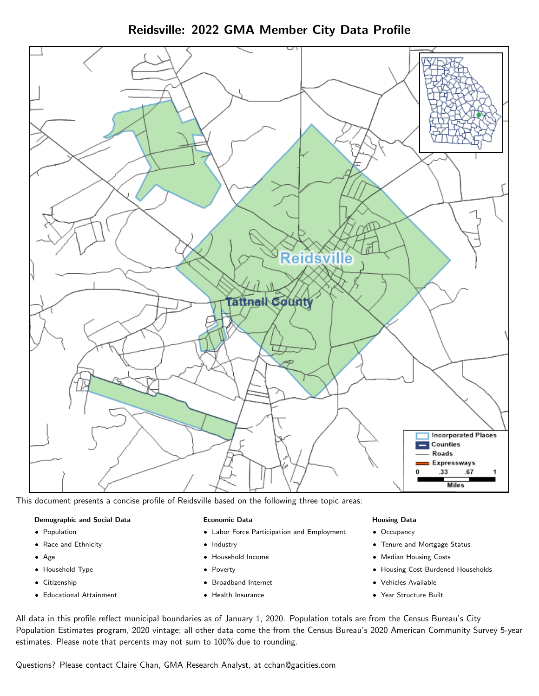Reidsville: 2022 GMA Member City Data Profile



This document presents a concise profile of Reidsville based on the following three topic areas:

#### Demographic and Social Data

- **•** Population
- Race and Ethnicity
- Age
- Household Type
- **Citizenship**
- Educational Attainment

#### Economic Data

- Labor Force Participation and Employment
- Industry
- Household Income
- Poverty
- Broadband Internet
- Health Insurance

#### Housing Data

- Occupancy
- Tenure and Mortgage Status
- Median Housing Costs
- Housing Cost-Burdened Households
- Vehicles Available
- Year Structure Built

All data in this profile reflect municipal boundaries as of January 1, 2020. Population totals are from the Census Bureau's City Population Estimates program, 2020 vintage; all other data come the from the Census Bureau's 2020 American Community Survey 5-year estimates. Please note that percents may not sum to 100% due to rounding.

Questions? Please contact Claire Chan, GMA Research Analyst, at [cchan@gacities.com.](mailto:cchan@gacities.com)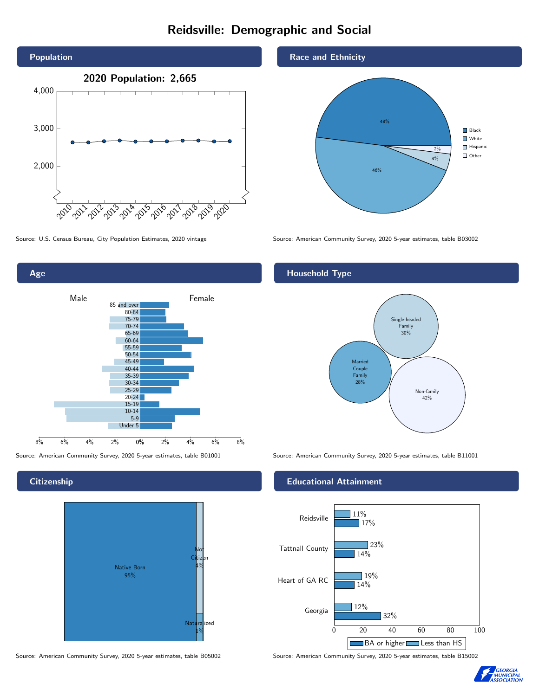# Reidsville: Demographic and Social



Age 0% 2% 4% 6% 8% Male <u>Communication</u> Female 8% 6% 4% 2% 85 and over 80-84 75-79 70-74 65-69 60-64 55-59 50-54 45-49 40-44 35-39 30-34 25-29 20-24 15-19  $10-14$ 5-9 Under 5

**Citizenship** 



Source: American Community Survey, 2020 5-year estimates, table B05002 Source: American Community Survey, 2020 5-year estimates, table B15002

#### Race and Ethnicity



Source: U.S. Census Bureau, City Population Estimates, 2020 vintage Source: American Community Survey, 2020 5-year estimates, table B03002

## Household Type



Source: American Community Survey, 2020 5-year estimates, table B01001 Source: American Community Survey, 2020 5-year estimates, table B11001

#### Educational Attainment



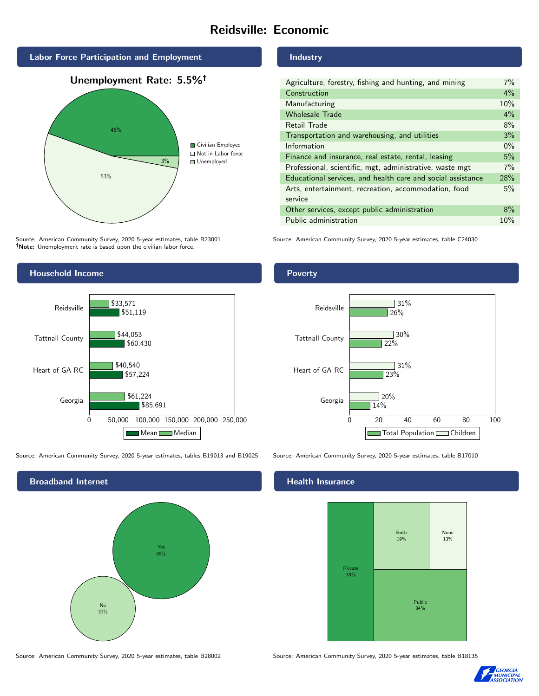# Reidsville: Economic



Source: American Community Survey, 2020 5-year estimates, table B23001 Note: Unemployment rate is based upon the civilian labor force.

#### Industry

| Agriculture, forestry, fishing and hunting, and mining      | $7\%$ |
|-------------------------------------------------------------|-------|
| Construction                                                | $4\%$ |
| Manufacturing                                               | 10%   |
| <b>Wholesale Trade</b>                                      | $4\%$ |
| Retail Trade                                                | 8%    |
| Transportation and warehousing, and utilities               | 3%    |
| Information                                                 | $0\%$ |
| Finance and insurance, real estate, rental, leasing         | 5%    |
| Professional, scientific, mgt, administrative, waste mgt    | 7%    |
| Educational services, and health care and social assistance | 28%   |
| Arts, entertainment, recreation, accommodation, food        | 5%    |
| service                                                     |       |
| Other services, except public administration                | 8%    |
| Public administration                                       | 10%   |

Source: American Community Survey, 2020 5-year estimates, table C24030



Source: American Community Survey, 2020 5-year estimates, tables B19013 and B19025 Source: American Community Survey, 2020 5-year estimates, table B17010



## **Health Insurance**



Source: American Community Survey, 2020 5-year estimates, table B28002 Source: American Community Survey, 2020 5-year estimates, table B18135



#### Poverty